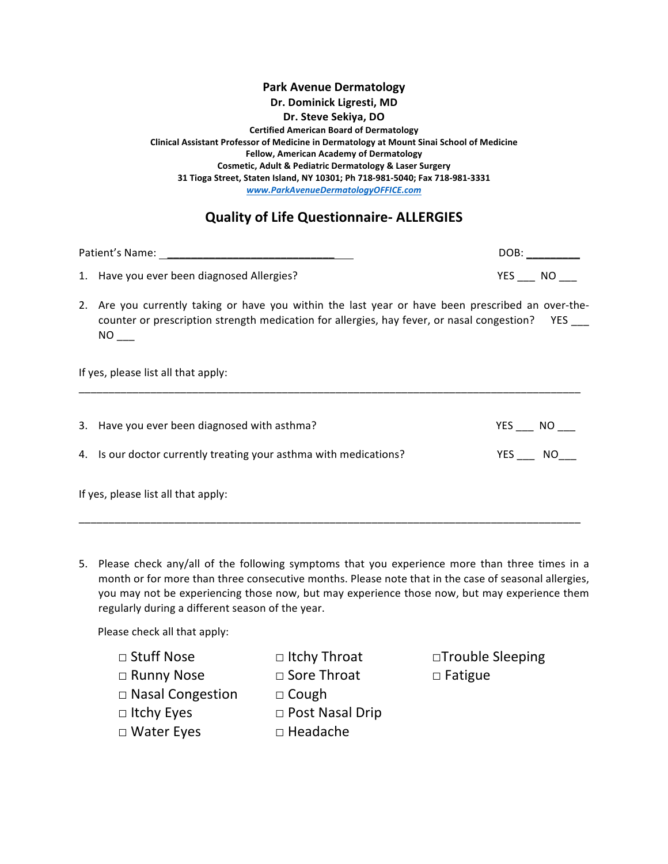## **Park Avenue Dermatology Dr. Dominick Ligresti, MD Dr. Steve Sekiya, DO Certified American Board of Dermatology Clinical Assistant Professor of Medicine in Dermatology at Mount Sinai School of Medicine Fellow, American Academy of Dermatology Cosmetic, Adult & Pediatric Dermatology & Laser Surgery 31 Tioga Street, Staten Island, NY 10301; Ph 718-981-5040; Fax 718-981-3331** *www.ParkAvenueDermatologyOFFICE.com*

## **Quality of Life Questionnaire- ALLERGIES**

| Patient's Name: |                                            | DOB:       |    |
|-----------------|--------------------------------------------|------------|----|
|                 | 1. Have you ever been diagnosed Allergies? | <b>YFS</b> | NΟ |

2. Are you currently taking or have you within the last year or have been prescribed an over-thecounter or prescription strength medication for allergies, hay fever, or nasal congestion? YES \_\_\_  $NO_{$ 

If yes, please list all that apply:

|                                     | 3. Have you ever been diagnosed with asthma?                      | YES | NO. |  |
|-------------------------------------|-------------------------------------------------------------------|-----|-----|--|
|                                     | 4. Is our doctor currently treating your asthma with medications? | YES | NO. |  |
| If yes, please list all that apply: |                                                                   |     |     |  |

\_\_\_\_\_\_\_\_\_\_\_\_\_\_\_\_\_\_\_\_\_\_\_\_\_\_\_\_\_\_\_\_\_\_\_\_\_\_\_\_\_\_\_\_\_\_\_\_\_\_\_\_\_\_\_\_\_\_\_\_\_\_\_\_\_\_\_\_\_\_\_\_\_\_\_\_\_\_\_\_\_\_\_\_

\_\_\_\_\_\_\_\_\_\_\_\_\_\_\_\_\_\_\_\_\_\_\_\_\_\_\_\_\_\_\_\_\_\_\_\_\_\_\_\_\_\_\_\_\_\_\_\_\_\_\_\_\_\_\_\_\_\_\_\_\_\_\_\_\_\_\_\_\_\_\_\_\_\_\_\_\_\_\_\_\_\_\_\_

5. Please check any/all of the following symptoms that you experience more than three times in a month or for more than three consecutive months. Please note that in the case of seasonal allergies, you may not be experiencing those now, but may experience those now, but may experience them regularly during a different season of the year.

Please check all that apply:

- 
- □ Runny Nose □ Sore Throat □ Fatigue
- □ Nasal Congestion □ Cough
- □ Itchy Eyes □ Post Nasal Drip
- -
- □ Water Eyes □ Headache
- 
- □ Stuff Nose □ Itchy Throat □ Trouble Sleeping